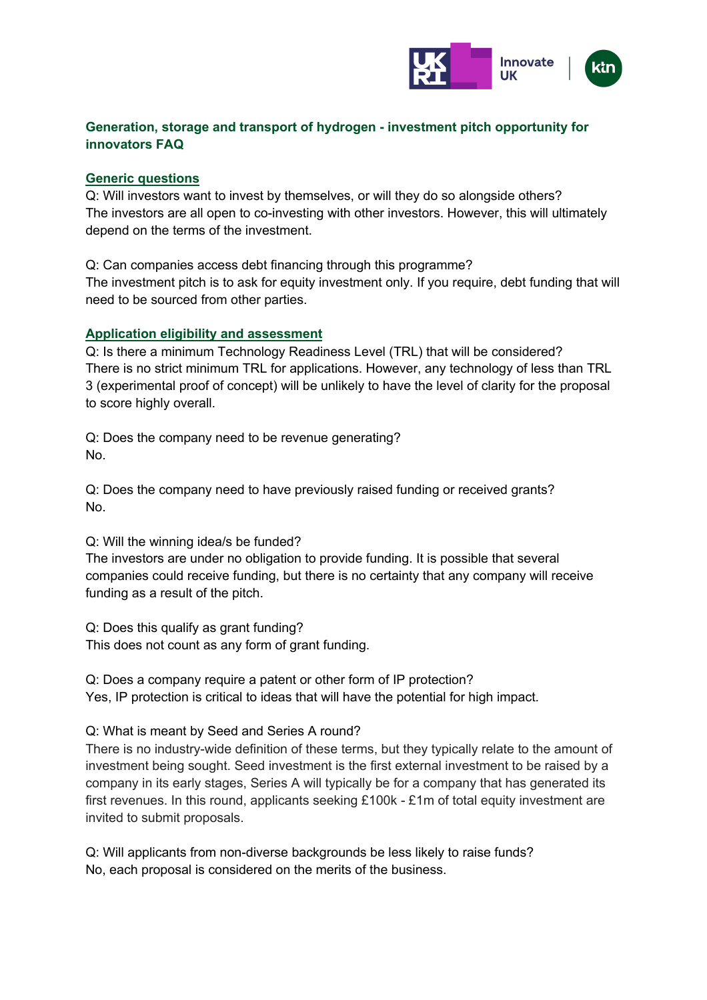

# **Generation, storage and transport of hydrogen - investment pitch opportunity for innovators FAQ**

#### **Generic questions**

Q: Will investors want to invest by themselves, or will they do so alongside others? The investors are all open to co-investing with other investors. However, this will ultimately depend on the terms of the investment.

Q: Can companies access debt financing through this programme? The investment pitch is to ask for equity investment only. If you require, debt funding that will need to be sourced from other parties.

## **Application eligibility and assessment**

Q: Is there a minimum Technology Readiness Level (TRL) that will be considered? There is no strict minimum TRL for applications. However, any technology of less than TRL 3 (experimental proof of concept) will be unlikely to have the level of clarity for the proposal to score highly overall.

Q: Does the company need to be revenue generating? No.

Q: Does the company need to have previously raised funding or received grants? No.

Q: Will the winning idea/s be funded?

The investors are under no obligation to provide funding. It is possible that several companies could receive funding, but there is no certainty that any company will receive funding as a result of the pitch.

Q: Does this qualify as grant funding? This does not count as any form of grant funding.

Q: Does a company require a patent or other form of IP protection? Yes, IP protection is critical to ideas that will have the potential for high impact.

Q: What is meant by Seed and Series A round?

There is no industry-wide definition of these terms, but they typically relate to the amount of investment being sought. Seed investment is the first external investment to be raised by a company in its early stages, Series A will typically be for a company that has generated its first revenues. In this round, applicants seeking £100k - £1m of total equity investment are invited to submit proposals.

Q: Will applicants from non-diverse backgrounds be less likely to raise funds? No, each proposal is considered on the merits of the business.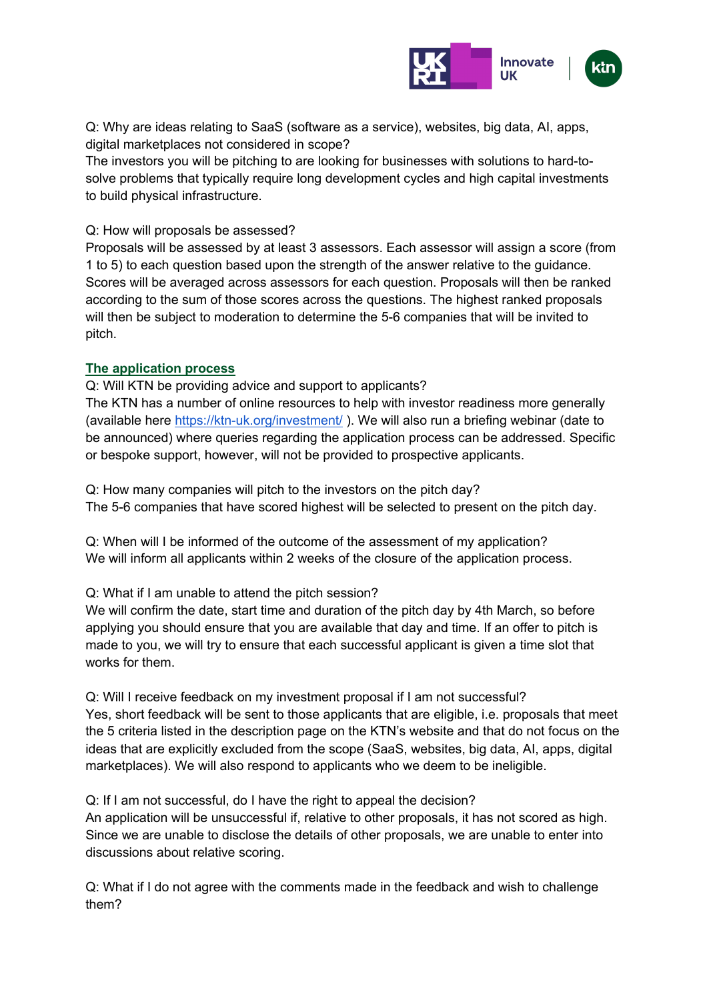

Q: Why are ideas relating to SaaS (software as a service), websites, big data, AI, apps, digital marketplaces not considered in scope?

The investors you will be pitching to are looking for businesses with solutions to hard-tosolve problems that typically require long development cycles and high capital investments to build physical infrastructure.

## Q: How will proposals be assessed?

Proposals will be assessed by at least 3 assessors. Each assessor will assign a score (from 1 to 5) to each question based upon the strength of the answer relative to the guidance. Scores will be averaged across assessors for each question. Proposals will then be ranked according to the sum of those scores across the questions. The highest ranked proposals will then be subject to moderation to determine the 5-6 companies that will be invited to pitch.

## **The application process**

Q: Will KTN be providing advice and support to applicants? The KTN has a number of online resources to help with investor readiness more generally (available here https://ktn-uk.org/investment/). We will also run a briefing webinar (date to be announced) where queries regarding the application process can be addressed. Specific or bespoke support, however, will not be provided to prospective applicants.

Q: How many companies will pitch to the investors on the pitch day? The 5-6 companies that have scored highest will be selected to present on the pitch day.

Q: When will I be informed of the outcome of the assessment of my application? We will inform all applicants within 2 weeks of the closure of the application process.

## Q: What if I am unable to attend the pitch session?

We will confirm the date, start time and duration of the pitch day by 4th March, so before applying you should ensure that you are available that day and time. If an offer to pitch is made to you, we will try to ensure that each successful applicant is given a time slot that works for them.

Q: Will I receive feedback on my investment proposal if I am not successful? Yes, short feedback will be sent to those applicants that are eligible, i.e. proposals that meet the 5 criteria listed in the description page on the KTN's website and that do not focus on the ideas that are explicitly excluded from the scope (SaaS, websites, big data, AI, apps, digital marketplaces). We will also respond to applicants who we deem to be ineligible.

Q: If I am not successful, do I have the right to appeal the decision?

An application will be unsuccessful if, relative to other proposals, it has not scored as high. Since we are unable to disclose the details of other proposals, we are unable to enter into discussions about relative scoring.

Q: What if I do not agree with the comments made in the feedback and wish to challenge them?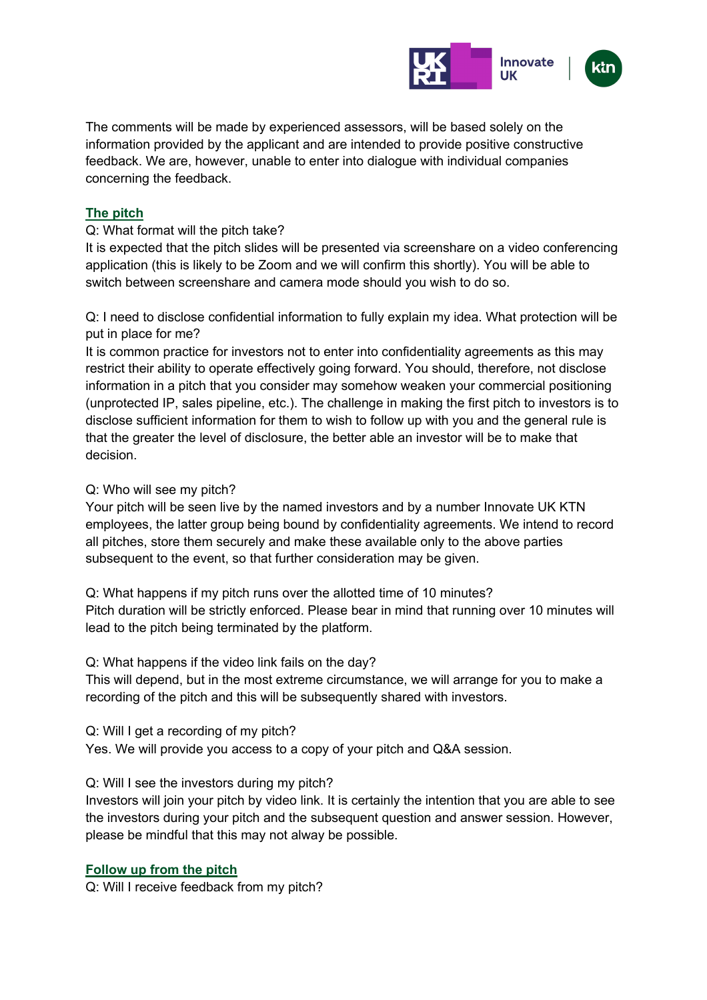

The comments will be made by experienced assessors, will be based solely on the information provided by the applicant and are intended to provide positive constructive feedback. We are, however, unable to enter into dialogue with individual companies concerning the feedback.

## **The pitch**

## Q: What format will the pitch take?

It is expected that the pitch slides will be presented via screenshare on a video conferencing application (this is likely to be Zoom and we will confirm this shortly). You will be able to switch between screenshare and camera mode should you wish to do so.

Q: I need to disclose confidential information to fully explain my idea. What protection will be put in place for me?

It is common practice for investors not to enter into confidentiality agreements as this may restrict their ability to operate effectively going forward. You should, therefore, not disclose information in a pitch that you consider may somehow weaken your commercial positioning (unprotected IP, sales pipeline, etc.). The challenge in making the first pitch to investors is to disclose sufficient information for them to wish to follow up with you and the general rule is that the greater the level of disclosure, the better able an investor will be to make that decision.

#### Q: Who will see my pitch?

Your pitch will be seen live by the named investors and by a number Innovate UK KTN employees, the latter group being bound by confidentiality agreements. We intend to record all pitches, store them securely and make these available only to the above parties subsequent to the event, so that further consideration may be given.

Q: What happens if my pitch runs over the allotted time of 10 minutes? Pitch duration will be strictly enforced. Please bear in mind that running over 10 minutes will lead to the pitch being terminated by the platform.

#### Q: What happens if the video link fails on the day?

This will depend, but in the most extreme circumstance, we will arrange for you to make a recording of the pitch and this will be subsequently shared with investors.

Q: Will I get a recording of my pitch?

Yes. We will provide you access to a copy of your pitch and Q&A session.

#### Q: Will I see the investors during my pitch?

Investors will join your pitch by video link. It is certainly the intention that you are able to see the investors during your pitch and the subsequent question and answer session. However, please be mindful that this may not alway be possible.

#### **Follow up from the pitch**

Q: Will I receive feedback from my pitch?